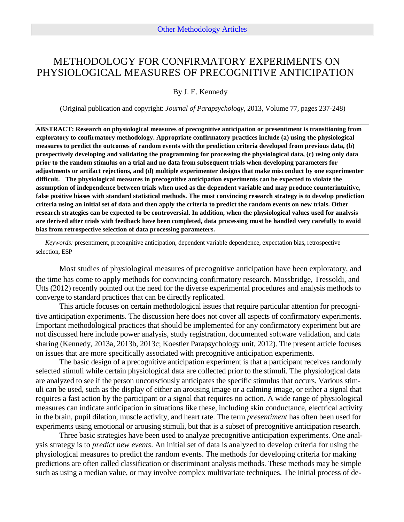# METHODOLOGY FOR CONFIRMATORY EXPERIMENTS ON PHYSIOLOGICAL MEASURES OF PRECOGNITIVE ANTICIPATION

By J. E. Kennedy

(Original publication and copyright: *Journal of Parapsychology*, 2013, Volume 77, pages 237-248)

**ABSTRACT: Research on physiological measures of precognitive anticipation or presentiment is transitioning from exploratory to confirmatory methodology. Appropriate confirmatory practices include (a) using the physiological measures to predict the outcomes of random events with the prediction criteria developed from previous data, (b) prospectively developing and validating the programming for processing the physiological data, (c) using only data prior to the random stimulus on a trial and no data from subsequent trials when developing parameters for adjustments or artifact rejections, and (d) multiple experimenter designs that make misconduct by one experimenter difficult. The physiological measures in precognitive anticipation experiments can be expected to violate the assumption of independence between trials when used as the dependent variable and may produce counterintuitive, false positive biases with standard statistical methods. The most convincing research strategy is to develop prediction criteria using an initial set of data and then apply the criteria to predict the random events on new trials. Other research strategies can be expected to be controversial. In addition, when the physiological values used for analysis are derived after trials with feedback have been completed, data processing must be handled very carefully to avoid bias from retrospective selection of data processing parameters.** 

*Keywords:* presentiment, precognitive anticipation, dependent variable dependence, expectation bias, retrospective selection, ESP

Most studies of physiological measures of precognitive anticipation have been exploratory, and the time has come to apply methods for convincing confirmatory research. Mossbridge, Tressoldi, and Utts (2012) recently pointed out the need for the diverse experimental procedures and analysis methods to converge to standard practices that can be directly replicated.

This article focuses on certain methodological issues that require particular attention for precognitive anticipation experiments. The discussion here does not cover all aspects of confirmatory experiments. Important methodological practices that should be implemented for any confirmatory experiment but are not discussed here include power analysis, study registration, documented software validation, and data sharing (Kennedy, 2013a, 2013b, 2013c; Koestler Parapsychology unit, 2012). The present article focuses on issues that are more specifically associated with precognitive anticipation experiments.

The basic design of a precognitive anticipation experiment is that a participant receives randomly selected stimuli while certain physiological data are collected prior to the stimuli. The physiological data are analyzed to see if the person unconsciously anticipates the specific stimulus that occurs. Various stimuli can be used, such as the display of either an arousing image or a calming image, or either a signal that requires a fast action by the participant or a signal that requires no action. A wide range of physiological measures can indicate anticipation in situations like these, including skin conductance, electrical activity in the brain, pupil dilation, muscle activity, and heart rate. The term *presentiment* has often been used for experiments using emotional or arousing stimuli, but that is a subset of precognitive anticipation research.

Three basic strategies have been used to analyze precognitive anticipation experiments. One analysis strategy is to *predict new events*. An initial set of data is analyzed to develop criteria for using the physiological measures to predict the random events. The methods for developing criteria for making predictions are often called classification or discriminant analysis methods. These methods may be simple such as using a median value, or may involve complex multivariate techniques. The initial process of de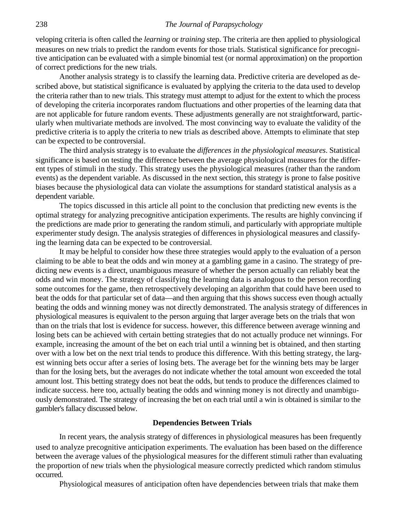veloping criteria is often called the *learning* or *training* step. The criteria are then applied to physiological measures on new trials to predict the random events for those trials. Statistical significance for precognitive anticipation can be evaluated with a simple binomial test (or normal approximation) on the proportion of correct predictions for the new trials.

Another analysis strategy is to classify the learning data. Predictive criteria are developed as described above, but statistical significance is evaluated by applying the criteria to the data used to develop the criteria rather than to new trials. This strategy must attempt to adjust for the extent to which the process of developing the criteria incorporates random fluctuations and other properties of the learning data that are not applicable for future random events. These adjustments generally are not straightforward, particularly when multivariate methods are involved. The most convincing way to evaluate the validity of the predictive criteria is to apply the criteria to new trials as described above. Attempts to eliminate that step can be expected to be controversial.

The third analysis strategy is to evaluate the *differences in the physiological measures*. Statistical significance is based on testing the difference between the average physiological measures for the different types of stimuli in the study. This strategy uses the physiological measures (rather than the random events) as the dependent variable. As discussed in the next section, this strategy is prone to false positive biases because the physiological data can violate the assumptions for standard statistical analysis as a dependent variable.

The topics discussed in this article all point to the conclusion that predicting new events is the optimal strategy for analyzing precognitive anticipation experiments. The results are highly convincing if the predictions are made prior to generating the random stimuli, and particularly with appropriate multiple experimenter study design. The analysis strategies of differences in physiological measures and classifying the learning data can be expected to be controversial.

It may be helpful to consider how these three strategies would apply to the evaluation of a person claiming to be able to beat the odds and win money at a gambling game in a casino. The strategy of predicting new events is a direct, unambiguous measure of whether the person actually can reliably beat the odds and win money. The strategy of classifying the learning data is analogous to the person recording some outcomes for the game, then retrospectively developing an algorithm that could have been used to beat the odds for that particular set of data—and then arguing that this shows success even though actually beating the odds and winning money was not directly demonstrated. The analysis strategy of differences in physiological measures is equivalent to the person arguing that larger average bets on the trials that won than on the trials that lost is evidence for success. however, this difference between average winning and losing bets can be achieved with certain betting strategies that do not actually produce net winnings. For example, increasing the amount of the bet on each trial until a winning bet is obtained, and then starting over with a low bet on the next trial tends to produce this difference. With this betting strategy, the largest winning bets occur after a series of losing bets. The average bet for the winning bets may be larger than for the losing bets, but the averages do not indicate whether the total amount won exceeded the total amount lost. This betting strategy does not beat the odds, but tends to produce the differences claimed to indicate success. here too, actually beating the odds and winning money is not directly and unambiguously demonstrated. The strategy of increasing the bet on each trial until a win is obtained is similar to the gambler's fallacy discussed below.

#### **Dependencies Between Trials**

In recent years, the analysis strategy of differences in physiological measures has been frequently used to analyze precognitive anticipation experiments. The evaluation has been based on the difference between the average values of the physiological measures for the different stimuli rather than evaluating the proportion of new trials when the physiological measure correctly predicted which random stimulus occurred.

Physiological measures of anticipation often have dependencies between trials that make them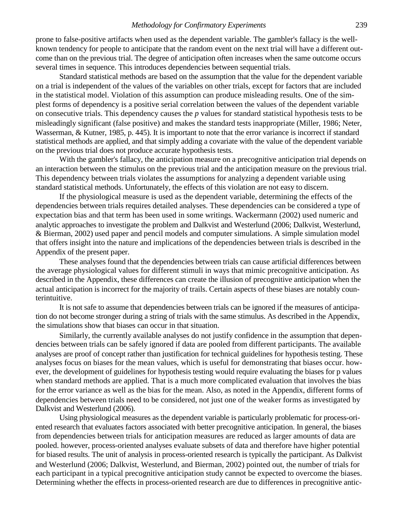#### *Methodology for Confirmatory Experiments* 239

prone to false-positive artifacts when used as the dependent variable. The gambler's fallacy is the wellknown tendency for people to anticipate that the random event on the next trial will have a different outcome than on the previous trial. The degree of anticipation often increases when the same outcome occurs several times in sequence. This introduces dependencies between sequential trials.

Standard statistical methods are based on the assumption that the value for the dependent variable on a trial is independent of the values of the variables on other trials, except for factors that are included in the statistical model. Violation of this assumption can produce misleading results. One of the simplest forms of dependency is a positive serial correlation between the values of the dependent variable on consecutive trials. This dependency causes the *p* values for standard statistical hypothesis tests to be misleadingly significant (false positive) and makes the standard tests inappropriate (Miller, 1986; Neter, Wasserman, & Kutner, 1985, p. 445). It is important to note that the error variance is incorrect if standard statistical methods are applied, and that simply adding a covariate with the value of the dependent variable on the previous trial does not produce accurate hypothesis tests.

With the gambler's fallacy, the anticipation measure on a precognitive anticipation trial depends on an interaction between the stimulus on the previous trial and the anticipation measure on the previous trial. This dependency between trials violates the assumptions for analyzing a dependent variable using standard statistical methods. Unfortunately, the effects of this violation are not easy to discern.

If the physiological measure is used as the dependent variable, determining the effects of the dependencies between trials requires detailed analyses. These dependencies can be considered a type of expectation bias and that term has been used in some writings. Wackermann (2002) used numeric and analytic approaches to investigate the problem and Dalkvist and Westerlund (2006; Dalkvist, Westerlund, & Bierman, 2002) used paper and pencil models and computer simulations. A simple simulation model that offers insight into the nature and implications of the dependencies between trials is described in the Appendix of the present paper.

These analyses found that the dependencies between trials can cause artificial differences between the average physiological values for different stimuli in ways that mimic precognitive anticipation. As described in the Appendix, these differences can create the illusion of precognitive anticipation when the actual anticipation is incorrect for the majority of trails. Certain aspects of these biases are notably counterintuitive.

It is not safe to assume that dependencies between trials can be ignored if the measures of anticipation do not become stronger during a string of trials with the same stimulus. As described in the Appendix, the simulations show that biases can occur in that situation.

Similarly, the currently available analyses do not justify confidence in the assumption that dependencies between trials can be safely ignored if data are pooled from different participants. The available analyses are proof of concept rather than justification for technical guidelines for hypothesis testing. These analyses focus on biases for the mean values, which is useful for demonstrating that biases occur. however, the development of guidelines for hypothesis testing would require evaluating the biases for p values when standard methods are applied. That is a much more complicated evaluation that involves the bias for the error variance as well as the bias for the mean. Also, as noted in the Appendix, different forms of dependencies between trials need to be considered, not just one of the weaker forms as investigated by Dalkvist and Westerlund (2006).

Using physiological measures as the dependent variable is particularly problematic for process-oriented research that evaluates factors associated with better precognitive anticipation. In general, the biases from dependencies between trials for anticipation measures are reduced as larger amounts of data are pooled. however, process-oriented analyses evaluate subsets of data and therefore have higher potential for biased results. The unit of analysis in process-oriented research is typically the participant. As Dalkvist and Westerlund (2006; Dalkvist, Westerlund, and Bierman, 2002) pointed out, the number of trials for each participant in a typical precognitive anticipation study cannot be expected to overcome the biases. Determining whether the effects in process-oriented research are due to differences in precognitive antic-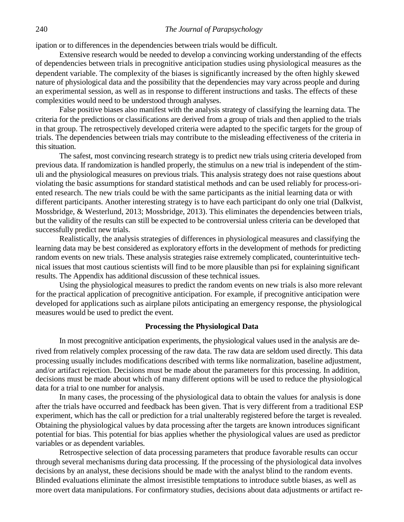### 240 *The Journal of Parapsychology*

ipation or to differences in the dependencies between trials would be difficult.

Extensive research would be needed to develop a convincing working understanding of the effects of dependencies between trials in precognitive anticipation studies using physiological measures as the dependent variable. The complexity of the biases is significantly increased by the often highly skewed nature of physiological data and the possibility that the dependencies may vary across people and during an experimental session, as well as in response to different instructions and tasks. The effects of these complexities would need to be understood through analyses.

False positive biases also manifest with the analysis strategy of classifying the learning data. The criteria for the predictions or classifications are derived from a group of trials and then applied to the trials in that group. The retrospectively developed criteria were adapted to the specific targets for the group of trials. The dependencies between trials may contribute to the misleading effectiveness of the criteria in this situation.

The safest, most convincing research strategy is to predict new trials using criteria developed from previous data. If randomization is handled properly, the stimulus on a new trial is independent of the stimuli and the physiological measures on previous trials. This analysis strategy does not raise questions about violating the basic assumptions for standard statistical methods and can be used reliably for process-oriented research. The new trials could be with the same participants as the initial learning data or with different participants. Another interesting strategy is to have each participant do only one trial (Dalkvist, Mossbridge, & Westerlund, 2013; Mossbridge, 2013). This eliminates the dependencies between trials, but the validity of the results can still be expected to be controversial unless criteria can be developed that successfully predict new trials.

Realistically, the analysis strategies of differences in physiological measures and classifying the learning data may be best considered as exploratory efforts in the development of methods for predicting random events on new trials. These analysis strategies raise extremely complicated, counterintuitive technical issues that most cautious scientists will find to be more plausible than psi for explaining significant results. The Appendix has additional discussion of these technical issues.

Using the physiological measures to predict the random events on new trials is also more relevant for the practical application of precognitive anticipation. For example, if precognitive anticipation were developed for applications such as airplane pilots anticipating an emergency response, the physiological measures would be used to predict the event.

### **Processing the Physiological Data**

In most precognitive anticipation experiments, the physiological values used in the analysis are derived from relatively complex processing of the raw data. The raw data are seldom used directly. This data processing usually includes modifications described with terms like normalization, baseline adjustment, and/or artifact rejection. Decisions must be made about the parameters for this processing. In addition, decisions must be made about which of many different options will be used to reduce the physiological data for a trial to one number for analysis.

In many cases, the processing of the physiological data to obtain the values for analysis is done after the trials have occurred and feedback has been given. That is very different from a traditional ESP experiment, which has the call or prediction for a trial unalterably registered before the target is revealed. Obtaining the physiological values by data processing after the targets are known introduces significant potential for bias. This potential for bias applies whether the physiological values are used as predictor variables or as dependent variables.

Retrospective selection of data processing parameters that produce favorable results can occur through several mechanisms during data processing. If the processing of the physiological data involves decisions by an analyst, these decisions should be made with the analyst blind to the random events. Blinded evaluations eliminate the almost irresistible temptations to introduce subtle biases, as well as more overt data manipulations. For confirmatory studies, decisions about data adjustments or artifact re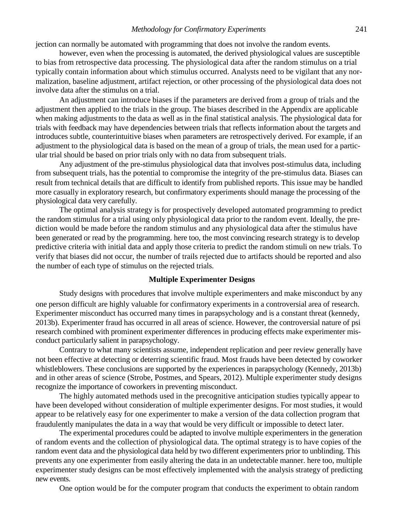jection can normally be automated with programming that does not involve the random events.

however, even when the processing is automated, the derived physiological values are susceptible to bias from retrospective data processing. The physiological data after the random stimulus on a trial typically contain information about which stimulus occurred. Analysts need to be vigilant that any normalization, baseline adjustment, artifact rejection, or other processing of the physiological data does not involve data after the stimulus on a trial.

An adjustment can introduce biases if the parameters are derived from a group of trials and the adjustment then applied to the trials in the group. The biases described in the Appendix are applicable when making adjustments to the data as well as in the final statistical analysis. The physiological data for trials with feedback may have dependencies between trials that reflects information about the targets and introduces subtle, counterintuitive biases when parameters are retrospectively derived. For example, if an adjustment to the physiological data is based on the mean of a group of trials, the mean used for a particular trial should be based on prior trials only with no data from subsequent trials.

Any adjustment of the pre-stimulus physiological data that involves post-stimulus data, including from subsequent trials, has the potential to compromise the integrity of the pre-stimulus data. Biases can result from technical details that are difficult to identify from published reports. This issue may be handled more casually in exploratory research, but confirmatory experiments should manage the processing of the physiological data very carefully.

The optimal analysis strategy is for prospectively developed automated programming to predict the random stimulus for a trial using only physiological data prior to the random event. Ideally, the prediction would be made before the random stimulus and any physiological data after the stimulus have been generated or read by the programming. here too, the most convincing research strategy is to develop predictive criteria with initial data and apply those criteria to predict the random stimuli on new trials. To verify that biases did not occur, the number of trails rejected due to artifacts should be reported and also the number of each type of stimulus on the rejected trials.

### **Multiple Experimenter Designs**

Study designs with procedures that involve multiple experimenters and make misconduct by any one person difficult are highly valuable for confirmatory experiments in a controversial area of research. Experimenter misconduct has occurred many times in parapsychology and is a constant threat (kennedy, 2013b). Experimenter fraud has occurred in all areas of science. However, the controversial nature of psi research combined with prominent experimenter differences in producing effects make experimenter misconduct particularly salient in parapsychology.

Contrary to what many scientists assume, independent replication and peer review generally have not been effective at detecting or deterring scientific fraud. Most frauds have been detected by coworker whistleblowers. These conclusions are supported by the experiences in parapsychology (Kennedy, 2013b) and in other areas of science (Strobe, Postmes, and Spears, 2012). Multiple experimenter study designs recognize the importance of coworkers in preventing misconduct.

The highly automated methods used in the precognitive anticipation studies typically appear to have been developed without consideration of multiple experimenter designs. For most studies, it would appear to be relatively easy for one experimenter to make a version of the data collection program that fraudulently manipulates the data in a way that would be very difficult or impossible to detect later.

The experimental procedures could be adapted to involve multiple experimenters in the generation of random events and the collection of physiological data. The optimal strategy is to have copies of the random event data and the physiological data held by two different experimenters prior to unblinding. This prevents any one experimenter from easily altering the data in an undetectable manner. here too, multiple experimenter study designs can be most effectively implemented with the analysis strategy of predicting new events.

One option would be for the computer program that conducts the experiment to obtain random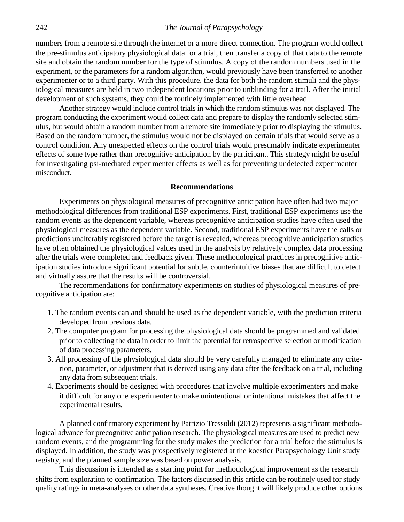numbers from a remote site through the internet or a more direct connection. The program would collect the pre-stimulus anticipatory physiological data for a trial, then transfer a copy of that data to the remote site and obtain the random number for the type of stimulus. A copy of the random numbers used in the experiment, or the parameters for a random algorithm, would previously have been transferred to another experimenter or to a third party. With this procedure, the data for both the random stimuli and the physiological measures are held in two independent locations prior to unblinding for a trail. After the initial development of such systems, they could be routinely implemented with little overhead.

Another strategy would include control trials in which the random stimulus was not displayed. The program conducting the experiment would collect data and prepare to display the randomly selected stimulus, but would obtain a random number from a remote site immediately prior to displaying the stimulus. Based on the random number, the stimulus would not be displayed on certain trials that would serve as a control condition. Any unexpected effects on the control trials would presumably indicate experimenter effects of some type rather than precognitive anticipation by the participant. This strategy might be useful for investigating psi-mediated experimenter effects as well as for preventing undetected experimenter misconduct.

#### **Recommendations**

Experiments on physiological measures of precognitive anticipation have often had two major methodological differences from traditional ESP experiments. First, traditional ESP experiments use the random events as the dependent variable, whereas precognitive anticipation studies have often used the physiological measures as the dependent variable. Second, traditional ESP experiments have the calls or predictions unalterably registered before the target is revealed, whereas precognitive anticipation studies have often obtained the physiological values used in the analysis by relatively complex data processing after the trials were completed and feedback given. These methodological practices in precognitive anticipation studies introduce significant potential for subtle, counterintuitive biases that are difficult to detect and virtually assure that the results will be controversial.

The recommendations for confirmatory experiments on studies of physiological measures of precognitive anticipation are:

- 1. The random events can and should be used as the dependent variable, with the prediction criteria developed from previous data.
- 2. The computer program for processing the physiological data should be programmed and validated prior to collecting the data in order to limit the potential for retrospective selection or modification of data processing parameters.
- 3. All processing of the physiological data should be very carefully managed to eliminate any criterion, parameter, or adjustment that is derived using any data after the feedback on a trial, including any data from subsequent trials.
- 4. Experiments should be designed with procedures that involve multiple experimenters and make it difficult for any one experimenter to make unintentional or intentional mistakes that affect the experimental results.

A planned confirmatory experiment by Patrizio Tressoldi (2012) represents a significant methodological advance for precognitive anticipation research. The physiological measures are used to predict new random events, and the programming for the study makes the prediction for a trial before the stimulus is displayed. In addition, the study was prospectively registered at the koestler Parapsychology Unit study registry, and the planned sample size was based on power analysis.

This discussion is intended as a starting point for methodological improvement as the research shifts from exploration to confirmation. The factors discussed in this article can be routinely used for study quality ratings in meta-analyses or other data syntheses. Creative thought will likely produce other options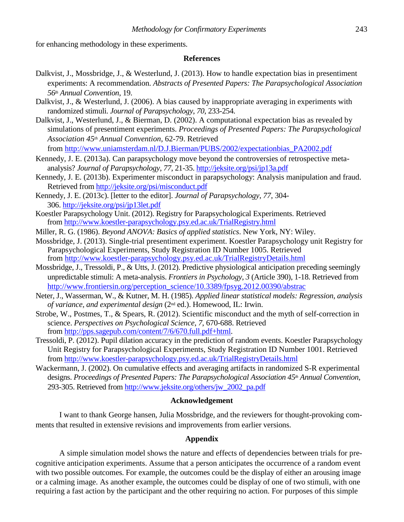for enhancing methodology in these experiments.

#### **References**

- Dalkvist, J., Mossbridge, J., & Westerlund, J. (2013). How to handle expectation bias in presentiment experiments: A recommendation. *Abstracts of Presented Papers: The Parapsychological Association 56th Annual Convention*, 19.
- Dalkvist, J., & Westerlund, J. (2006). A bias caused by inappropriate averaging in experiments with randomized stimuli. *Journal of Parapsychology*, *70*, 233-254.
- Dalkvist, J., Westerlund, J., & Bierman, D. (2002). A computational expectation bias as revealed by simulations of presentiment experiments. *Proceedings of Presented Papers: The Parapsychological Association 45th Annual Convention,* 62-79. Retrieved

from [http://www.uniamsterdam.nl/D.J.Bierman/PUBS/2002/expectationbias\\_PA2002.pdf](http://www.uniamsterdam.nl/D.J.Bierman/PUBS/2002/expectationbias_PA2002.pdf)

- Kennedy, J. E. (2013a). Can parapsychology move beyond the controversies of retrospective metaanalysis? *Journal of Parapsychology*, *77*, 21-35[. http://jeksite.org/psi/jp13a.pdf](http://jeksite.org/psi/jp13a.pdf)
- Kennedy, J. E. (2013b). Experimenter misconduct in parapsychology: Analysis manipulation and fraud. Retrieved fro[m http://jeksite.org/psi/misconduct.pdf](http://jeksite.org/psi/misconduct.pdf)
- Kennedy, J. E. (2013c). [letter to the editor]. *Journal of Parapsychology*, *77*, 304- 306.<http://jeksite.org/psi/jp13let.pdf>
- Koestler Parapsychology Unit. (2012). Registry for Parapsychological Experiments. Retrieved from<http://www.koestler-parapsychology.psy.ed.ac.uk/TrialRegistry.html>
- Miller, R. G. (1986). *Beyond ANOVA: Basics of applied statistics*. New York, NY: Wiley.
- Mossbridge, J. (2013). Single-trial presentiment experiment. Koestler Parapsychology unit Registry for Parapsychological Experiments, Study Registration ID Number 1005. Retrieved from<http://www.koestler-parapsychology.psy.ed.ac.uk/TrialRegistryDetails.html>
- Mossbridge, J., Tressoldi, P., & Utts, J. (2012). Predictive physiological anticipation preceding seemingly unpredictable stimuli: A meta-analysis. *Frontiers in Psychology*, *3* (Article 390), 1-18. Retrieved from [http://www.frontiersin.org/perception\\_science/10.3389/fpsyg.2012.00390/abstrac](http://www.frontiersin.org/perception_science/10.3389/fpsyg.2012.00390/abstrac)
- Neter, J., Wasserman, W., & Kutner, M. H. (1985). *Applied linear statistical models: Regression, analysis of variance, and experimental design* (2nd ed.). Homewood, IL: Irwin.
- Strobe, W., Postmes, T., & Spears, R. (2012). Scientific misconduct and the myth of self-correction in science. *Perspectives on Psychological Science*, *7*, 670-688. Retrieved from [http://pps.sagepub.com/content/7/6/670.full.pdf+html.](http://pps.sagepub.com/content/7/6/670.full.pdf+html)
- Tressoldi, P. (2012). Pupil dilation accuracy in the prediction of random events. Koestler Parapsychology Unit Registry for Parapsychological Experiments, Study Registration ID Number 1001. Retrieved from<http://www.koestler-parapsychology.psy.ed.ac.uk/TrialRegistryDetails.html>
- Wackermann, J. (2002). On cumulative effects and averaging artifacts in randomized S-R experimental designs. *Proceedings of Presented Papers: The Parapsychological Association 45th Annual Convention*, 293-305. Retrieved from [http://www.jeksite.org/others/jw\\_2002\\_pa.pdf](http://www.jeksite.org/others/jw_2002_pa.pdf)

### **Acknowledgement**

I want to thank George hansen, Julia Mossbridge, and the reviewers for thought-provoking comments that resulted in extensive revisions and improvements from earlier versions.

### **Appendix**

A simple simulation model shows the nature and effects of dependencies between trials for precognitive anticipation experiments. Assume that a person anticipates the occurrence of a random event with two possible outcomes. For example, the outcomes could be the display of either an arousing image or a calming image. As another example, the outcomes could be display of one of two stimuli, with one requiring a fast action by the participant and the other requiring no action. For purposes of this simple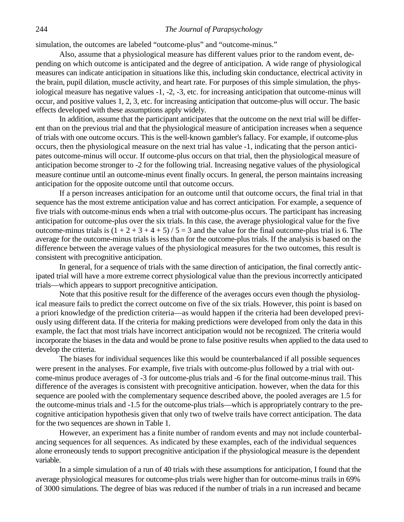### 244 *The Journal of Parapsychology*

simulation, the outcomes are labeled "outcome-plus" and "outcome-minus."

Also, assume that a physiological measure has different values prior to the random event, depending on which outcome is anticipated and the degree of anticipation. A wide range of physiological measures can indicate anticipation in situations like this, including skin conductance, electrical activity in the brain, pupil dilation, muscle activity, and heart rate. For purposes of this simple simulation, the physiological measure has negative values -1, -2, -3, etc. for increasing anticipation that outcome-minus will occur, and positive values 1, 2, 3, etc. for increasing anticipation that outcome-plus will occur. The basic effects developed with these assumptions apply widely.

In addition, assume that the participant anticipates that the outcome on the next trial will be different than on the previous trial and that the physiological measure of anticipation increases when a sequence of trials with one outcome occurs. This is the well-known gambler's fallacy. For example, if outcome-plus occurs, then the physiological measure on the next trial has value -1, indicating that the person anticipates outcome-minus will occur. If outcome-plus occurs on that trial, then the physiological measure of anticipation become stronger to -2 for the following trial. Increasing negative values of the physiological measure continue until an outcome-minus event finally occurs. In general, the person maintains increasing anticipation for the opposite outcome until that outcome occurs.

If a person increases anticipation for an outcome until that outcome occurs, the final trial in that sequence has the most extreme anticipation value and has correct anticipation. For example, a sequence of five trials with outcome-minus ends when a trial with outcome-plus occurs. The participant has increasing anticipation for outcome-plus over the six trials. In this case, the average physiological value for the five outcome-minus trials is  $(1 + 2 + 3 + 4 + 5) / 5 = 3$  and the value for the final outcome-plus trial is 6. The average for the outcome-minus trials is less than for the outcome-plus trials. If the analysis is based on the difference between the average values of the physiological measures for the two outcomes, this result is consistent with precognitive anticipation.

In general, for a sequence of trials with the same direction of anticipation, the final correctly anticipated trial will have a more extreme correct physiological value than the previous incorrectly anticipated trials—which appears to support precognitive anticipation.

Note that this positive result for the difference of the averages occurs even though the physiological measure fails to predict the correct outcome on five of the six trials. However, this point is based on a priori knowledge of the prediction criteria—as would happen if the criteria had been developed previously using different data. If the criteria for making predictions were developed from only the data in this example, the fact that most trials have incorrect anticipation would not be recognized. The criteria would incorporate the biases in the data and would be prone to false positive results when applied to the data used to develop the criteria.

The biases for individual sequences like this would be counterbalanced if all possible sequences were present in the analyses. For example, five trials with outcome-plus followed by a trial with outcome-minus produce averages of -3 for outcome-plus trials and -6 for the final outcome-minus trail. This difference of the averages is consistent with precognitive anticipation. however, when the data for this sequence are pooled with the complementary sequence described above, the pooled averages are 1.5 for the outcome-minus trials and -1.5 for the outcome-plus trials—which is appropriately contrary to the precognitive anticipation hypothesis given that only two of twelve trails have correct anticipation. The data for the two sequences are shown in Table 1.

However, an experiment has a finite number of random events and may not include counterbalancing sequences for all sequences. As indicated by these examples, each of the individual sequences alone erroneously tends to support precognitive anticipation if the physiological measure is the dependent variable.

In a simple simulation of a run of 40 trials with these assumptions for anticipation, I found that the average physiological measures for outcome-plus trials were higher than for outcome-minus trails in 69% of 3000 simulations. The degree of bias was reduced if the number of trials in a run increased and became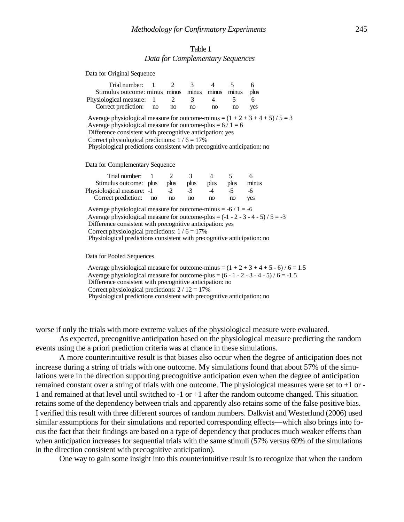### Table 1 *Data for Complementary Sequences*

| Data for Original Sequence                                                                                                                                                                                                                                                                                                               |    |      |      |       |       |       |
|------------------------------------------------------------------------------------------------------------------------------------------------------------------------------------------------------------------------------------------------------------------------------------------------------------------------------------------|----|------|------|-------|-------|-------|
| Trial number: 1                                                                                                                                                                                                                                                                                                                          |    | 2    | 3    | 4     | 5     | 6     |
| Stimulus outcome: minus minus minus                                                                                                                                                                                                                                                                                                      |    |      |      | minus | minus | plus  |
| Physiological measure:                                                                                                                                                                                                                                                                                                                   | 1  | 2    | 3    | 4     | 5     | 6     |
| Correct prediction:                                                                                                                                                                                                                                                                                                                      | no | no   | no   | no    | no    | yes   |
| Average physiological measure for outcome-minus = $(1 + 2 + 3 + 4 + 5) / 5 = 3$<br>Average physiological measure for outcome-plus = $6/1 = 6$<br>Difference consistent with precognitive anticipation: yes<br>Correct physiological predictions: $1/6 = 17\%$<br>Physiological predictions consistent with precognitive anticipation: no |    |      |      |       |       |       |
| Data for Complementary Sequence                                                                                                                                                                                                                                                                                                          |    |      |      |       |       |       |
| Trial number:                                                                                                                                                                                                                                                                                                                            | 1  | 2    | 3    | 4     | 5     | 6     |
| Stimulus outcome: plus                                                                                                                                                                                                                                                                                                                   |    | plus | plus | plus  | plus  | minus |
| Physiological measure: -1                                                                                                                                                                                                                                                                                                                |    | $-2$ | $-3$ | $-4$  | $-5$  | -6    |
| Correct prediction:                                                                                                                                                                                                                                                                                                                      | no | no   | no   | no    | no    | yes   |
|                                                                                                                                                                                                                                                                                                                                          |    |      |      |       |       |       |

Average physiological measure for outcome-minus  $= -6 / 1 = -6$ Average physiological measure for outcome-plus =  $(-1 - 2 - 3 - 4 - 5) / 5 = -3$ Difference consistent with precognitive anticipation: yes Correct physiological predictions:  $1/6 = 17\%$ Physiological predictions consistent with precognitive anticipation: no

Data for Pooled Sequences

 $D_{\text{obs}}$  for  $O_{\text{min}}$  of  $S_{\text{max}}$ 

Average physiological measure for outcome-minus  $=(1 + 2 + 3 + 4 + 5 - 6)$  / 6 = 1.5 Average physiological measure for outcome-plus =  $(6 - 1 - 2 - 3 - 4 - 5) / 6 = -1.5$ Difference consistent with precognitive anticipation: no Correct physiological predictions:  $2 / 12 = 17\%$ Physiological predictions consistent with precognitive anticipation: no

worse if only the trials with more extreme values of the physiological measure were evaluated.

As expected, precognitive anticipation based on the physiological measure predicting the random events using the a priori prediction criteria was at chance in these simulations.

A more counterintuitive result is that biases also occur when the degree of anticipation does not increase during a string of trials with one outcome. My simulations found that about 57% of the simulations were in the direction supporting precognitive anticipation even when the degree of anticipation remained constant over a string of trials with one outcome. The physiological measures were set to +1 or - 1 and remained at that level until switched to -1 or +1 after the random outcome changed. This situation retains some of the dependency between trials and apparently also retains some of the false positive bias. I verified this result with three different sources of random numbers. Dalkvist and Westerlund (2006) used similar assumptions for their simulations and reported corresponding effects—which also brings into focus the fact that their findings are based on a type of dependency that produces much weaker effects than when anticipation increases for sequential trials with the same stimuli (57% versus 69% of the simulations in the direction consistent with precognitive anticipation).

One way to gain some insight into this counterintuitive result is to recognize that when the random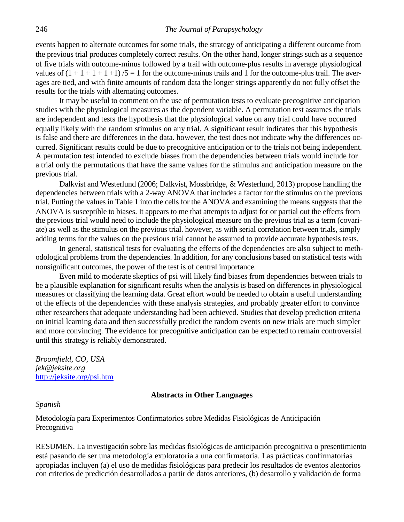events happen to alternate outcomes for some trials, the strategy of anticipating a different outcome from the previous trial produces completely correct results. On the other hand, longer strings such as a sequence of five trials with outcome-minus followed by a trail with outcome-plus results in average physiological values of  $(1 + 1 + 1 + 1)$  /5 = 1 for the outcome-minus trails and 1 for the outcome-plus trail. The averages are tied, and with finite amounts of random data the longer strings apparently do not fully offset the results for the trials with alternating outcomes.

It may be useful to comment on the use of permutation tests to evaluate precognitive anticipation studies with the physiological measures as the dependent variable. A permutation test assumes the trials are independent and tests the hypothesis that the physiological value on any trial could have occurred equally likely with the random stimulus on any trial. A significant result indicates that this hypothesis is false and there are differences in the data. however, the test does not indicate why the differences occurred. Significant results could be due to precognitive anticipation or to the trials not being independent. A permutation test intended to exclude biases from the dependencies between trials would include for a trial only the permutations that have the same values for the stimulus and anticipation measure on the previous trial.

Dalkvist and Westerlund (2006; Dalkvist, Mossbridge, & Westerlund, 2013) propose handling the dependencies between trials with a 2-way ANOVA that includes a factor for the stimulus on the previous trial. Putting the values in Table 1 into the cells for the ANOVA and examining the means suggests that the ANOVA is susceptible to biases. It appears to me that attempts to adjust for or partial out the effects from the previous trial would need to include the physiological measure on the previous trial as a term (covariate) as well as the stimulus on the previous trial. however, as with serial correlation between trials, simply adding terms for the values on the previous trial cannot be assumed to provide accurate hypothesis tests.

In general, statistical tests for evaluating the effects of the dependencies are also subject to methodological problems from the dependencies. In addition, for any conclusions based on statistical tests with nonsignificant outcomes, the power of the test is of central importance.

Even mild to moderate skeptics of psi will likely find biases from dependencies between trials to be a plausible explanation for significant results when the analysis is based on differences in physiological measures or classifying the learning data. Great effort would be needed to obtain a useful understanding of the effects of the dependencies with these analysis strategies, and probably greater effort to convince other researchers that adequate understanding had been achieved. Studies that develop prediction criteria on initial learning data and then successfully predict the random events on new trials are much simpler and more convincing. The evidence for precognitive anticipation can be expected to remain controversial until this strategy is reliably demonstrated.

*Broomfield, CO, USA jek@jeksite.org*  [http://jeksite.org/psi.htm](http://jeksite.org/psi.htm#t3)

### **Abstracts in Other Languages**

*Spanish* 

Metodología para Experimentos Confirmatorios sobre Medidas Fisiológicas de Anticipación Precognitiva

RESUMEN. La investigación sobre las medidas fisiológicas de anticipación precognitiva o presentimiento está pasando de ser una metodología exploratoria a una confirmatoria. Las prácticas confirmatorias apropiadas incluyen (a) el uso de medidas fisiológicas para predecir los resultados de eventos aleatorios con criterios de predicción desarrollados a partir de datos anteriores, (b) desarrollo y validación de forma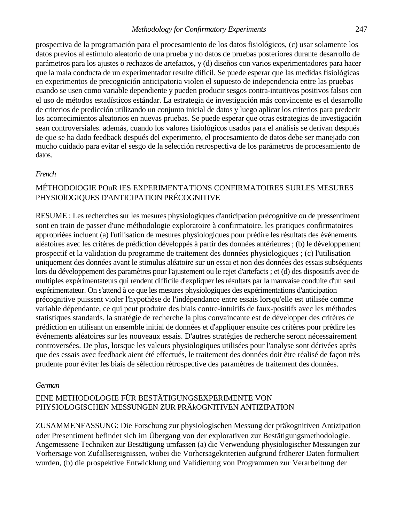### *Methodology for Confirmatory Experiments* 247

prospectiva de la programación para el procesamiento de los datos fisiológicos, (c) usar solamente los datos previos al estímulo aleatorio de una prueba y no datos de pruebas posteriores durante desarrollo de parámetros para los ajustes o rechazos de artefactos, y (d) diseños con varios experimentadores para hacer que la mala conducta de un experimentador resulte difícil. Se puede esperar que las medidas fisiológicas en experimentos de precognición anticipatoria violen el supuesto de independencia entre las pruebas cuando se usen como variable dependiente y pueden producir sesgos contra-intuitivos positivos falsos con el uso de métodos estadísticos estándar. La estrategia de investigación más convincente es el desarrollo de criterios de predicción utilizando un conjunto inicial de datos y luego aplicar los criterios para predecir los acontecimientos aleatorios en nuevas pruebas. Se puede esperar que otras estrategias de investigación sean controversiales. además, cuando los valores fisiológicos usados para el análisis se derivan después de que se ha dado feedback después del experimento, el procesamiento de datos debe ser manejado con mucho cuidado para evitar el sesgo de la selección retrospectiva de los parámetros de procesamiento de datos.

### *French*

## MÉTHODOlOGIE POuR lES EXPERIMENTATIONS CONFIRMATOIRES SURLES MESURES PHYSIOlOGIQUES D'ANTICIPATION PRÉCOGNITIVE

RESUME : Les recherches sur les mesures physiologiques d'anticipation précognitive ou de pressentiment sont en train de passer d'une méthodologie exploratoire à confirmatoire. les pratiques confirmatoires appropriées incluent (a) l'utilisation de mesures physiologiques pour prédire les résultats des événements aléatoires avec les critères de prédiction développés à partir des données antérieures ; (b) le développement prospectif et la validation du programme de traitement des données physiologiques ; (c) l'utilisation uniquement des données avant le stimulus aléatoire sur un essai et non des données des essais subséquents lors du développement des paramètres pour l'ajustement ou le rejet d'artefacts ; et (d) des dispositifs avec de multiples expérimentateurs qui rendent difficile d'expliquer les résultats par la mauvaise conduite d'un seul expérimentateur. On s'attend à ce que les mesures physiologiques des expérimentations d'anticipation précognitive puissent violer l'hypothèse de l'indépendance entre essais lorsqu'elle est utilisée comme variable dépendante, ce qui peut produire des biais contre-intuitifs de faux-positifs avec les méthodes statistiques standards. la stratégie de recherche la plus convaincante est de développer des critères de prédiction en utilisant un ensemble initial de données et d'appliquer ensuite ces critères pour prédire les événements aléatoires sur les nouveaux essais. D'autres stratégies de recherche seront nécessairement controversées. De plus, lorsque les valeurs physiologiques utilisées pour l'analyse sont dérivées après que des essais avec feedback aient été effectués, le traitement des données doit être réalisé de façon très prudente pour éviter les biais de sélection rétrospective des paramètres de traitement des données.

### *German*

# EINE METHODOLOGIE FÜR BESTÄTIGUNGSEXPERIMENTE VON PHYSIOLOGISCHEN MESSUNGEN ZUR PRÄkOGNITIVEN ANTIZIPATION

ZUSAMMENFASSUNG: Die Forschung zur physiologischen Messung der präkognitiven Antizipation oder Presentiment befindet sich im Übergang von der explorativen zur Bestätigungsmethodologie. Angemessene Techniken zur Bestätigung umfassen (a) die Verwendung physiologischer Messungen zur Vorhersage von Zufallsereignissen, wobei die Vorhersagekriterien aufgrund früherer Daten formuliert wurden, (b) die prospektive Entwicklung und Validierung von Programmen zur Verarbeitung der